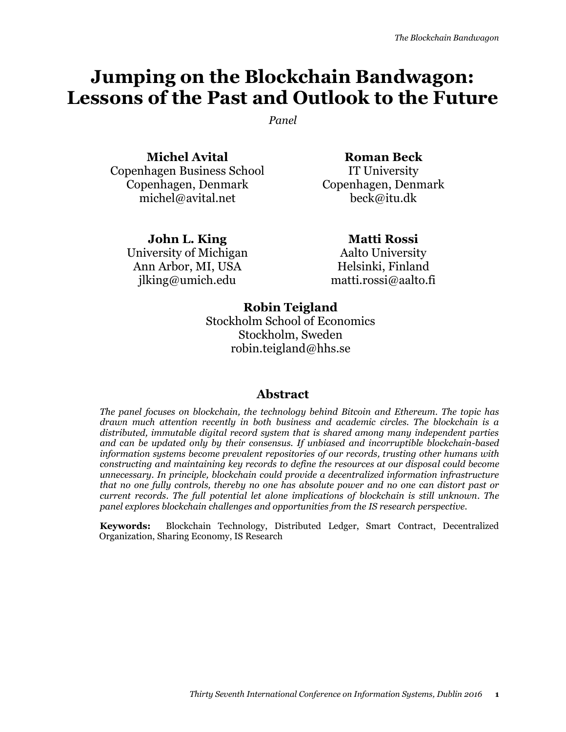# **Jumping on the Blockchain Bandwagon: Lessons of the Past and Outlook to the Future**

*Panel*

**Michel Avital** Copenhagen Business School Copenhagen, Denmark michel@avital.net

**Roman Beck**  IT University Copenhagen, Denmark beck@itu.dk

**John L. King** University of Michigan Ann Arbor, MI, USA jlking@umich.edu

**Matti Rossi**

Aalto University Helsinki, Finland matti.rossi@aalto.fi

**Robin Teigland** 

Stockholm School of Economics Stockholm, Sweden robin.teigland@hhs.se

## **Abstract**

*The panel focuses on blockchain, the technology behind Bitcoin and Ethereum. The topic has drawn much attention recently in both business and academic circles. The blockchain is a distributed, immutable digital record system that is shared among many independent parties and can be updated only by their consensus. If unbiased and incorruptible blockchain-based information systems become prevalent repositories of our records, trusting other humans with constructing and maintaining key records to define the resources at our disposal could become unnecessary. In principle, blockchain could provide a decentralized information infrastructure that no one fully controls, thereby no one has absolute power and no one can distort past or current records. The full potential let alone implications of blockchain is still unknown. The panel explores blockchain challenges and opportunities from the IS research perspective.*

**Keywords:** Blockchain Technology, Distributed Ledger, Smart Contract, Decentralized Organization, Sharing Economy, IS Research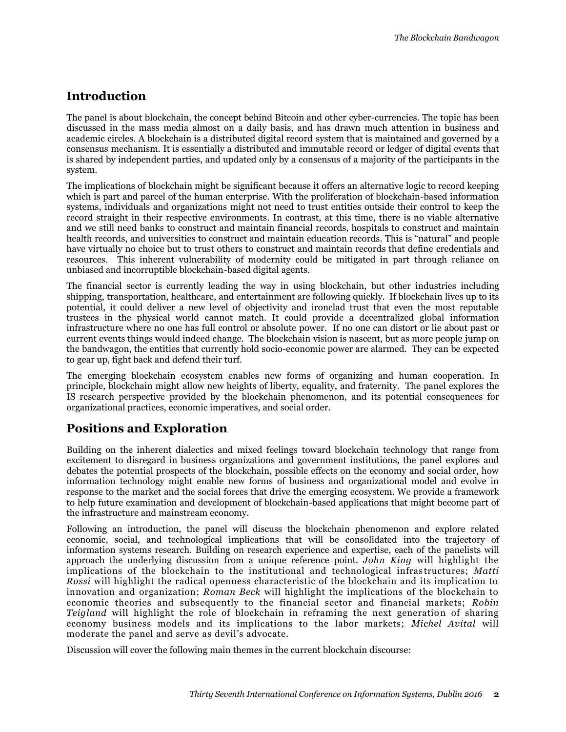## **Introduction**

The panel is about blockchain, the concept behind Bitcoin and other cyber-currencies. The topic has been discussed in the mass media almost on a daily basis, and has drawn much attention in business and academic circles. A blockchain is a distributed digital record system that is maintained and governed by a consensus mechanism. It is essentially a distributed and immutable record or ledger of digital events that is shared by independent parties, and updated only by a consensus of a majority of the participants in the system.

The implications of blockchain might be significant because it offers an alternative logic to record keeping which is part and parcel of the human enterprise. With the proliferation of blockchain-based information systems, individuals and organizations might not need to trust entities outside their control to keep the record straight in their respective environments. In contrast, at this time, there is no viable alternative and we still need banks to construct and maintain financial records, hospitals to construct and maintain health records, and universities to construct and maintain education records. This is "natural" and people have virtually no choice but to trust others to construct and maintain records that define credentials and resources. This inherent vulnerability of modernity could be mitigated in part through reliance on unbiased and incorruptible blockchain-based digital agents.

The financial sector is currently leading the way in using blockchain, but other industries including shipping, transportation, healthcare, and entertainment are following quickly. If blockchain lives up to its potential, it could deliver a new level of objectivity and ironclad trust that even the most reputable trustees in the physical world cannot match. It could provide a decentralized global information infrastructure where no one has full control or absolute power. If no one can distort or lie about past or current events things would indeed change. The blockchain vision is nascent, but as more people jump on the bandwagon, the entities that currently hold socio-economic power are alarmed. They can be expected to gear up, fight back and defend their turf.

The emerging blockchain ecosystem enables new forms of organizing and human cooperation. In principle, blockchain might allow new heights of liberty, equality, and fraternity. The panel explores the IS research perspective provided by the blockchain phenomenon, and its potential consequences for organizational practices, economic imperatives, and social order.

# **Positions and Exploration**

Building on the inherent dialectics and mixed feelings toward blockchain technology that range from excitement to disregard in business organizations and government institutions, the panel explores and debates the potential prospects of the blockchain, possible effects on the economy and social order, how information technology might enable new forms of business and organizational model and evolve in response to the market and the social forces that drive the emerging ecosystem. We provide a framework to help future examination and development of blockchain-based applications that might become part of the infrastructure and mainstream economy.

Following an introduction, the panel will discuss the blockchain phenomenon and explore related economic, social, and technological implications that will be consolidated into the trajectory of information systems research. Building on research experience and expertise, each of the panelists will approach the underlying discussion from a unique reference point. *John King* will highlight the implications of the blockchain to the institutional and technological infras tructures; *Matti Rossi* will highlight the radical openness characteristic of the blockchain and its implication to innovation and organization; *Roman Beck* will highlight the implications of the blockchain to economic theories and subsequently to the financial sector and financial markets; *Robin Teigland* will highlight the role of blockchain in reframing the next generation of sharing economy business models and its implications to the labor markets; *Michel Avital* will moderate the panel and serve as devil's advocate.

Discussion will cover the following main themes in the current blockchain discourse: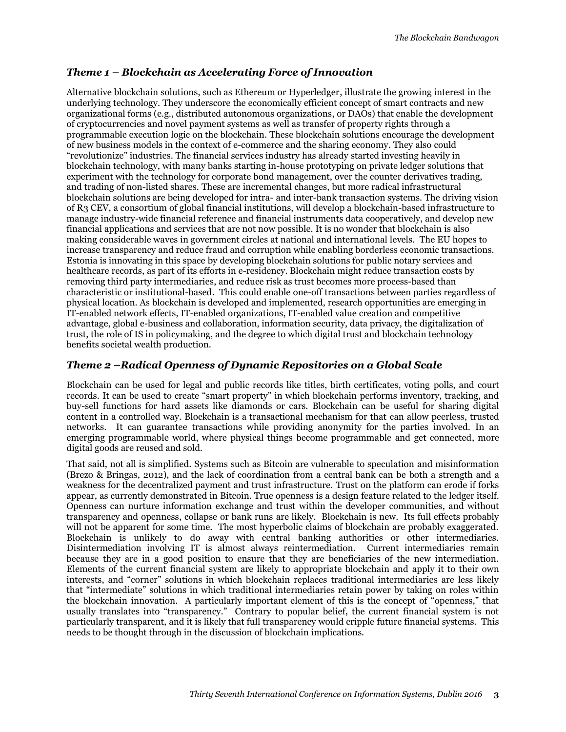#### *Theme 1 – Blockchain as Accelerating Force of Innovation*

Alternative blockchain solutions, such as Ethereum or Hyperledger, illustrate the growing interest in the underlying technology. They underscore the economically efficient concept of smart contracts and new organizational forms (e.g., distributed autonomous organizations, or DAOs) that enable the development of cryptocurrencies and novel payment systems as well as transfer of property rights through a programmable execution logic on the blockchain. These blockchain solutions encourage the development of new business models in the context of e-commerce and the sharing economy. They also could "revolutionize" industries. The financial services industry has already started investing heavily in blockchain technology, with many banks starting in-house prototyping on private ledger solutions that experiment with the technology for corporate bond management, over the counter derivatives trading, and trading of non-listed shares. These are incremental changes, but more radical infrastructural blockchain solutions are being developed for intra- and inter-bank transaction systems. The driving vision of R3 CEV, a consortium of global financial institutions, will develop a blockchain-based infrastructure to manage industry-wide financial reference and financial instruments data cooperatively, and develop new financial applications and services that are not now possible. It is no wonder that blockchain is also making considerable waves in government circles at national and international levels. The EU hopes to increase transparency and reduce fraud and corruption while enabling borderless economic transactions. Estonia is innovating in this space by developing blockchain solutions for public notary services and healthcare records, as part of its efforts in e-residency. Blockchain might reduce transaction costs by removing third party intermediaries, and reduce risk as trust becomes more process-based than characteristic or institutional-based. This could enable one-off transactions between parties regardless of physical location. As blockchain is developed and implemented, research opportunities are emerging in IT-enabled network effects, IT-enabled organizations, IT-enabled value creation and competitive advantage, global e-business and collaboration, information security, data privacy, the digitalization of trust, the role of IS in policymaking, and the degree to which digital trust and blockchain technology benefits societal wealth production.

#### *Theme 2 –Radical Openness of Dynamic Repositories on a Global Scale*

Blockchain can be used for legal and public records like titles, birth certificates, voting polls, and court records. It can be used to create "smart property" in which blockchain performs inventory, tracking, and buy-sell functions for hard assets like diamonds or cars. Blockchain can be useful for sharing digital content in a controlled way. Blockchain is a transactional mechanism for that can allow peerless, trusted networks. It can guarantee transactions while providing anonymity for the parties involved. In an emerging programmable world, where physical things become programmable and get connected, more digital goods are reused and sold.

That said, not all is simplified. Systems such as Bitcoin are vulnerable to speculation and misinformation (Brezo & Bringas, 2012), and the lack of coordination from a central bank can be both a strength and a weakness for the decentralized payment and trust infrastructure. Trust on the platform can erode if forks appear, as currently demonstrated in Bitcoin. True openness is a design feature related to the ledger itself. Openness can nurture information exchange and trust within the developer communities, and without transparency and openness, collapse or bank runs are likely. Blockchain is new. Its full effects probably will not be apparent for some time. The most hyperbolic claims of blockchain are probably exaggerated. Blockchain is unlikely to do away with central banking authorities or other intermediaries. Disintermediation involving IT is almost always reintermediation. Current intermediaries remain because they are in a good position to ensure that they are beneficiaries of the new intermediation. Elements of the current financial system are likely to appropriate blockchain and apply it to their own interests, and "corner" solutions in which blockchain replaces traditional intermediaries are less likely that "intermediate" solutions in which traditional intermediaries retain power by taking on roles within the blockchain innovation. A particularly important element of this is the concept of "openness," that usually translates into "transparency." Contrary to popular belief, the current financial system is not particularly transparent, and it is likely that full transparency would cripple future financial systems. This needs to be thought through in the discussion of blockchain implications.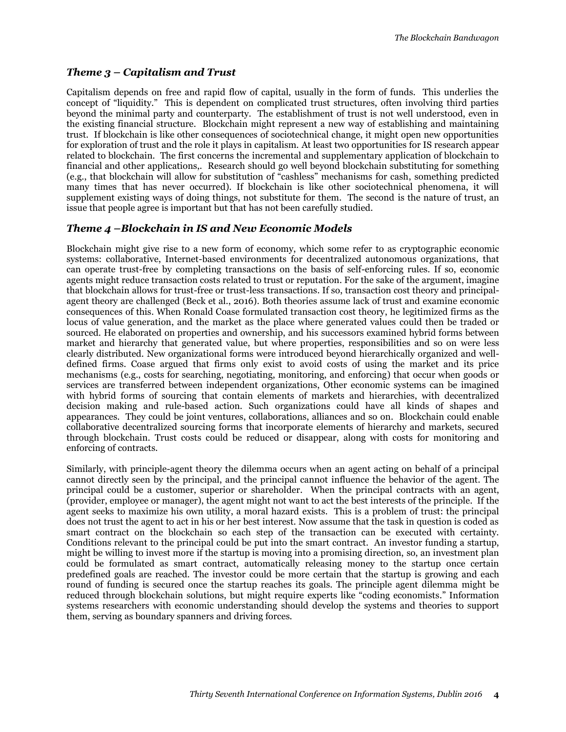#### *Theme 3 – Capitalism and Trust*

Capitalism depends on free and rapid flow of capital, usually in the form of funds. This underlies the concept of "liquidity." This is dependent on complicated trust structures, often involving third parties beyond the minimal party and counterparty. The establishment of trust is not well understood, even in the existing financial structure. Blockchain might represent a new way of establishing and maintaining trust. If blockchain is like other consequences of sociotechnical change, it might open new opportunities for exploration of trust and the role it plays in capitalism. At least two opportunities for IS research appear related to blockchain. The first concerns the incremental and supplementary application of blockchain to financial and other applications,. Research should go well beyond blockchain substituting for something (e.g., that blockchain will allow for substitution of "cashless" mechanisms for cash, something predicted many times that has never occurred). If blockchain is like other sociotechnical phenomena, it will supplement existing ways of doing things, not substitute for them. The second is the nature of trust, an issue that people agree is important but that has not been carefully studied.

#### *Theme 4 –Blockchain in IS and New Economic Models*

Blockchain might give rise to a new form of economy, which some refer to as cryptographic economic systems: collaborative, Internet-based environments for decentralized autonomous organizations, that can operate trust-free by completing transactions on the basis of self-enforcing rules. If so, economic agents might reduce transaction costs related to trust or reputation. For the sake of the argument, imagine that blockchain allows for trust-free or trust-less transactions. If so, transaction cost theory and principalagent theory are challenged (Beck et al., 2016). Both theories assume lack of trust and examine economic consequences of this. When Ronald Coase formulated transaction cost theory, he legitimized firms as the locus of value generation, and the market as the place where generated values could then be traded or sourced. He elaborated on properties and ownership, and his successors examined hybrid forms between market and hierarchy that generated value, but where properties, responsibilities and so on were less clearly distributed. New organizational forms were introduced beyond hierarchically organized and welldefined firms. Coase argued that firms only exist to avoid costs of using the market and its price mechanisms (e.g., costs for searching, negotiating, monitoring, and enforcing) that occur when goods or services are transferred between independent organizations, Other economic systems can be imagined with hybrid forms of sourcing that contain elements of markets and hierarchies, with decentralized decision making and rule-based action. Such organizations could have all kinds of shapes and appearances. They could be joint ventures, collaborations, alliances and so on. Blockchain could enable collaborative decentralized sourcing forms that incorporate elements of hierarchy and markets, secured through blockchain. Trust costs could be reduced or disappear, along with costs for monitoring and enforcing of contracts.

Similarly, with principle-agent theory the dilemma occurs when an agent acting on behalf of a principal cannot directly seen by the principal, and the principal cannot influence the behavior of the agent. The principal could be a customer, superior or shareholder. When the principal contracts with an agent, (provider, employee or manager), the agent might not want to act the best interests of the principle. If the agent seeks to maximize his own utility, a moral hazard exists. This is a problem of trust: the principal does not trust the agent to act in his or her best interest. Now assume that the task in question is coded as smart contract on the blockchain so each step of the transaction can be executed with certainty. Conditions relevant to the principal could be put into the smart contract. An investor funding a startup, might be willing to invest more if the startup is moving into a promising direction, so, an investment plan could be formulated as smart contract, automatically releasing money to the startup once certain predefined goals are reached. The investor could be more certain that the startup is growing and each round of funding is secured once the startup reaches its goals. The principle agent dilemma might be reduced through blockchain solutions, but might require experts like "coding economists." Information systems researchers with economic understanding should develop the systems and theories to support them, serving as boundary spanners and driving forces.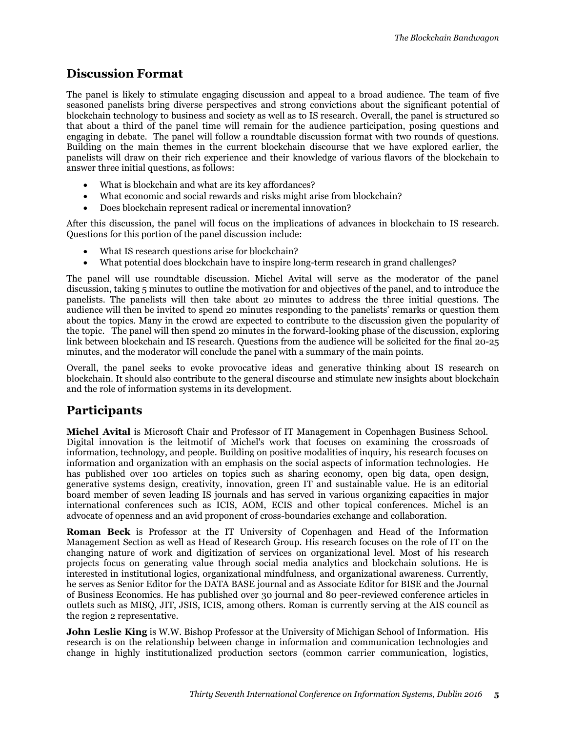## **Discussion Format**

The panel is likely to stimulate engaging discussion and appeal to a broad audience. The team of five seasoned panelists bring diverse perspectives and strong convictions about the significant potential of blockchain technology to business and society as well as to IS research. Overall, the panel is structured so that about a third of the panel time will remain for the audience participation, posing questions and engaging in debate. The panel will follow a roundtable discussion format with two rounds of questions. Building on the main themes in the current blockchain discourse that we have explored earlier, the panelists will draw on their rich experience and their knowledge of various flavors of the blockchain to answer three initial questions, as follows:

- What is blockchain and what are its key affordances?
- What economic and social rewards and risks might arise from blockchain?
- Does blockchain represent radical or incremental innovation?

After this discussion, the panel will focus on the implications of advances in blockchain to IS research. Questions for this portion of the panel discussion include:

- What IS research questions arise for blockchain?
- What potential does blockchain have to inspire long-term research in grand challenges?

The panel will use roundtable discussion. Michel Avital will serve as the moderator of the panel discussion, taking 5 minutes to outline the motivation for and objectives of the panel, and to introduce the panelists. The panelists will then take about 20 minutes to address the three initial questions. The audience will then be invited to spend 20 minutes responding to the panelists' remarks or question them about the topics. Many in the crowd are expected to contribute to the discussion given the popularity of the topic. The panel will then spend 20 minutes in the forward-looking phase of the discussion, exploring link between blockchain and IS research. Questions from the audience will be solicited for the final 20-25 minutes, and the moderator will conclude the panel with a summary of the main points.

Overall, the panel seeks to evoke provocative ideas and generative thinking about IS research on blockchain. It should also contribute to the general discourse and stimulate new insights about blockchain and the role of information systems in its development.

# **Participants**

**Michel Avital** is Microsoft Chair and Professor of IT Management in Copenhagen Business School. Digital innovation is the leitmotif of Michel's work that focuses on examining the crossroads of information, technology, and people. Building on positive modalities of inquiry, his research focuses on information and organization with an emphasis on the social aspects of information technologies. He has published over 100 articles on topics such as sharing economy, open big data, open design, generative systems design, creativity, innovation, green IT and sustainable value. He is an editorial board member of seven leading IS journals and has served in various organizing capacities in major international conferences such as ICIS, AOM, ECIS and other topical conferences. Michel is an advocate of openness and an avid proponent of cross-boundaries exchange and collaboration.

**Roman Beck** is Professor at the IT University of Copenhagen and Head of the Information Management Section as well as Head of Research Group. His research focuses on the role of IT on the changing nature of work and digitization of services on organizational level. Most of his research projects focus on generating value through social media analytics and blockchain solutions. He is interested in institutional logics, organizational mindfulness, and organizational awareness. Currently, he serves as Senior Editor for the DATA BASE journal and as Associate Editor for BISE and the Journal of Business Economics. He has published over 30 journal and 80 peer-reviewed conference articles in outlets such as MISQ, JIT, JSIS, ICIS, among others. Roman is currently serving at the AIS council as the region 2 representative.

**John Leslie King** is W.W. Bishop Professor at the University of Michigan School of Information. His research is on the relationship between change in information and communication technologies and change in highly institutionalized production sectors (common carrier communication, logistics,